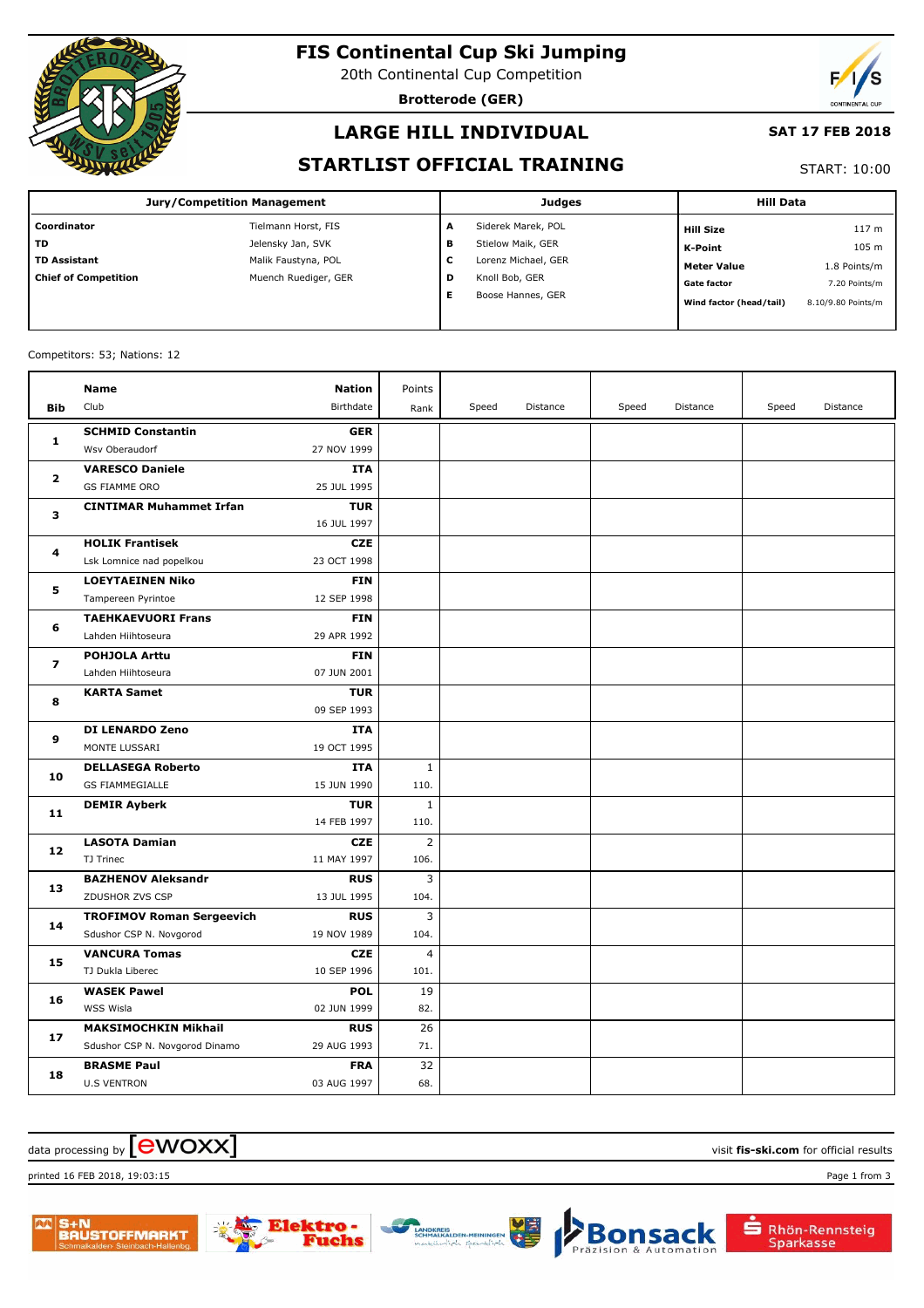

# **FIS Continental Cup Ski Jumping**

20th Continental Cup Competition

**Brotterode (GER)**



### **LARGE HILL INDIVIDUAL**

#### **SAT 17 FEB 2018**

### **STARTLIST OFFICIAL TRAINING**

#### START: 10:00

| <b>Jury/Competition Management</b> |                      |   | <b>Judges</b>       | <b>Hill Data</b>        |                    |  |
|------------------------------------|----------------------|---|---------------------|-------------------------|--------------------|--|
| Coordinator                        | Tielmann Horst, FIS  | А | Siderek Marek, POL  | <b>Hill Size</b>        | 117 <sub>m</sub>   |  |
| <b>TD</b>                          | Jelensky Jan, SVK    | в | Stielow Maik, GER   | K-Point                 | 105 m              |  |
| <b>TD Assistant</b>                | Malik Faustyna, POL  | c | Lorenz Michael, GER | <b>Meter Value</b>      | 1.8 Points/m       |  |
| <b>Chief of Competition</b>        | Muench Ruediger, GER | D | Knoll Bob, GER      | <b>Gate factor</b>      | 7.20 Points/m      |  |
|                                    |                      | Е | Boose Hannes, GER   | Wind factor (head/tail) | 8.10/9.80 Points/m |  |

#### Competitors: 53; Nations: 12

|                         | <b>Name</b>                      | <b>Nation</b>             | Points         |       |          |       |          |       |          |
|-------------------------|----------------------------------|---------------------------|----------------|-------|----------|-------|----------|-------|----------|
| <b>Bib</b>              | Club                             | Birthdate                 | Rank           | Speed | Distance | Speed | Distance | Speed | Distance |
| 1                       | <b>SCHMID Constantin</b>         | <b>GER</b>                |                |       |          |       |          |       |          |
|                         | Wsv Oberaudorf                   | 27 NOV 1999               |                |       |          |       |          |       |          |
|                         | <b>VARESCO Daniele</b>           | <b>ITA</b>                |                |       |          |       |          |       |          |
| 2                       | <b>GS FIAMME ORO</b>             | 25 JUL 1995               |                |       |          |       |          |       |          |
|                         | <b>CINTIMAR Muhammet Irfan</b>   | <b>TUR</b>                |                |       |          |       |          |       |          |
| з                       |                                  | 16 JUL 1997               |                |       |          |       |          |       |          |
| 4                       | <b>HOLIK Frantisek</b>           | <b>CZE</b>                |                |       |          |       |          |       |          |
|                         | Lsk Lomnice nad popelkou         | 23 OCT 1998               |                |       |          |       |          |       |          |
| 5                       | <b>LOEYTAEINEN Niko</b>          | <b>FIN</b>                |                |       |          |       |          |       |          |
|                         | Tampereen Pyrintoe               | 12 SEP 1998               |                |       |          |       |          |       |          |
| 6                       | <b>TAEHKAEVUORI Frans</b>        | <b>FIN</b>                |                |       |          |       |          |       |          |
|                         | Lahden Hiihtoseura               | 29 APR 1992               |                |       |          |       |          |       |          |
| $\overline{\mathbf{z}}$ | <b>POHJOLA Arttu</b>             | <b>FIN</b>                |                |       |          |       |          |       |          |
|                         | Lahden Hiihtoseura               | 07 JUN 2001               |                |       |          |       |          |       |          |
| 8                       | <b>KARTA Samet</b>               | <b>TUR</b>                |                |       |          |       |          |       |          |
|                         |                                  | 09 SEP 1993               |                |       |          |       |          |       |          |
| 9                       | DI LENARDO Zeno                  | <b>ITA</b>                |                |       |          |       |          |       |          |
|                         | MONTE LUSSARI                    | 19 OCT 1995               |                |       |          |       |          |       |          |
| 10                      | <b>DELLASEGA Roberto</b>         | <b>ITA</b>                | $\mathbf{1}$   |       |          |       |          |       |          |
|                         | <b>GS FIAMMEGIALLE</b>           | 15 JUN 1990               | 110.           |       |          |       |          |       |          |
| 11                      | <b>DEMIR Ayberk</b>              | <b>TUR</b><br>14 FEB 1997 | 1<br>110.      |       |          |       |          |       |          |
|                         | <b>LASOTA Damian</b>             | <b>CZE</b>                | $\overline{2}$ |       |          |       |          |       |          |
| 12                      | TJ Trinec                        | 11 MAY 1997               | 106.           |       |          |       |          |       |          |
|                         | <b>BAZHENOV Aleksandr</b>        | <b>RUS</b>                | 3              |       |          |       |          |       |          |
| 13                      | ZDUSHOR ZVS CSP                  | 13 JUL 1995               | 104.           |       |          |       |          |       |          |
|                         | <b>TROFIMOV Roman Sergeevich</b> | <b>RUS</b>                | 3              |       |          |       |          |       |          |
| 14                      | Sdushor CSP N. Novgorod          | 19 NOV 1989               | 104.           |       |          |       |          |       |          |
|                         | <b>VANCURA Tomas</b>             | <b>CZE</b>                | 4              |       |          |       |          |       |          |
| 15                      | TJ Dukla Liberec                 | 10 SEP 1996               | 101.           |       |          |       |          |       |          |
| 16                      | <b>WASEK Pawel</b>               | <b>POL</b>                | 19             |       |          |       |          |       |          |
|                         | WSS Wisla                        | 02 JUN 1999               | 82.            |       |          |       |          |       |          |
| 17                      | <b>MAKSIMOCHKIN Mikhail</b>      | <b>RUS</b>                | 26             |       |          |       |          |       |          |
|                         | Sdushor CSP N. Novgorod Dinamo   | 29 AUG 1993               | 71.            |       |          |       |          |       |          |
|                         | <b>BRASME Paul</b>               | <b>FRA</b>                | 32             |       |          |       |          |       |          |
| 18                      | <b>U.S VENTRON</b>               | 03 AUG 1997               | 68.            |       |          |       |          |       |          |

### $\alpha$  data processing by  $\boxed{\text{ewOX}}$

printed 16 FEB 2018, 19:03:15 Page 1 from 3







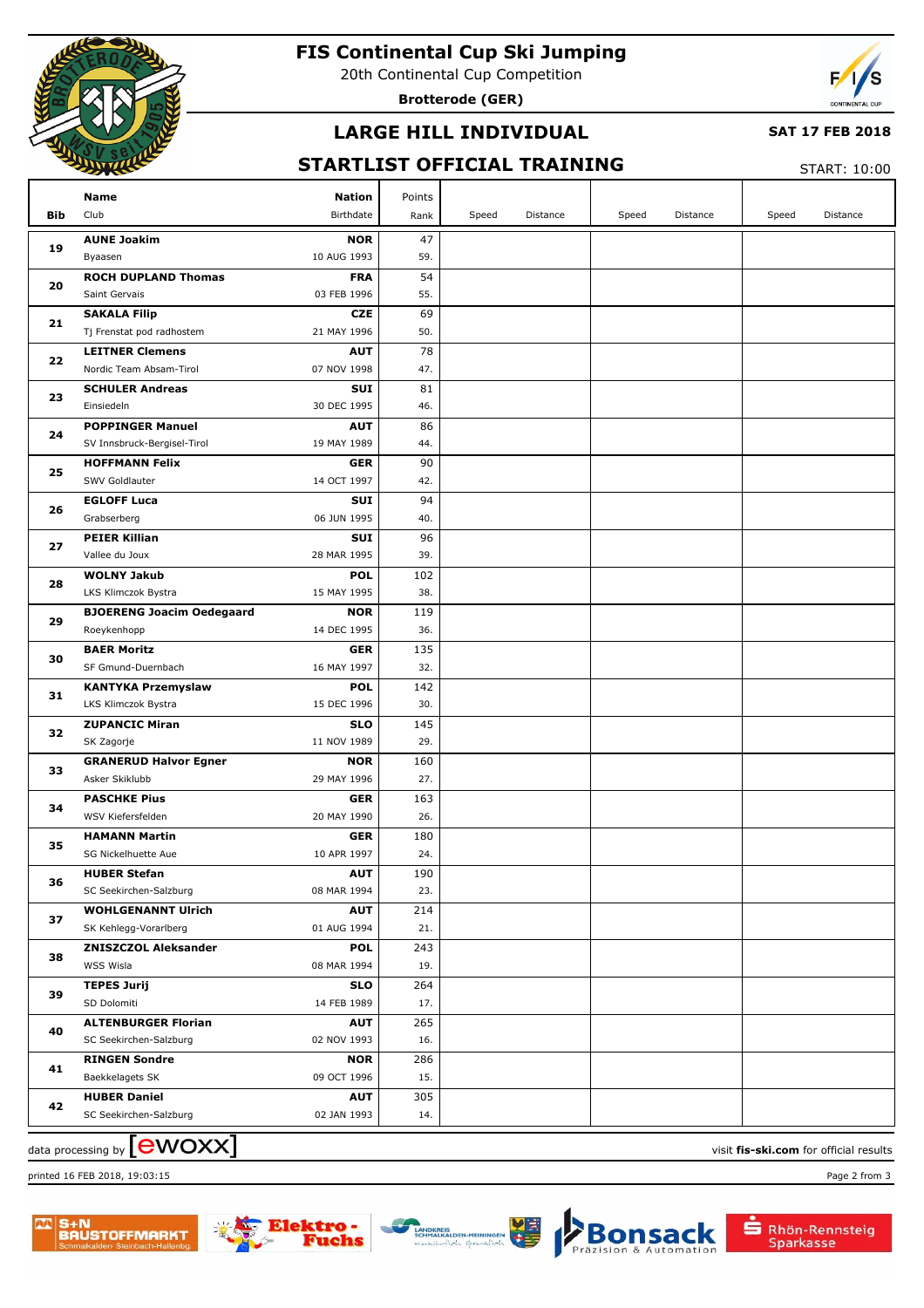

# **FIS Continental Cup Ski Jumping**

20th Continental Cup Competition

**Brotterode (GER)**



## **LARGE HILL INDIVIDUAL**

#### **SAT 17 FEB 2018**

### **STARTLIST OFFICIAL TRAINING**

START: 10:00

|     | Name                                               | <b>Nation</b> | Points     |       |          |       |          |       |          |
|-----|----------------------------------------------------|---------------|------------|-------|----------|-------|----------|-------|----------|
| Bib | Club                                               | Birthdate     | Rank       | Speed | Distance | Speed | Distance | Speed | Distance |
| 19  | <b>AUNE Joakim</b>                                 | <b>NOR</b>    | 47         |       |          |       |          |       |          |
|     | 10 AUG 1993<br>Byaasen                             |               | 59.        |       |          |       |          |       |          |
| 20  | <b>ROCH DUPLAND Thomas</b>                         | <b>FRA</b>    | 54         |       |          |       |          |       |          |
|     | Saint Gervais<br>03 FEB 1996                       |               | 55.        |       |          |       |          |       |          |
| 21  | <b>SAKALA Filip</b>                                | <b>CZE</b>    | 69         |       |          |       |          |       |          |
|     | 21 MAY 1996<br>Tj Frenstat pod radhostem           |               | 50.        |       |          |       |          |       |          |
| 22  | <b>LEITNER Clemens</b>                             | <b>AUT</b>    | 78         |       |          |       |          |       |          |
|     | Nordic Team Absam-Tirol<br>07 NOV 1998             |               | 47.        |       |          |       |          |       |          |
| 23  | <b>SCHULER Andreas</b>                             | <b>SUI</b>    | 81         |       |          |       |          |       |          |
|     | Einsiedeln<br>30 DEC 1995                          |               | 46.        |       |          |       |          |       |          |
| 24  | <b>POPPINGER Manuel</b>                            | <b>AUT</b>    | 86         |       |          |       |          |       |          |
|     | SV Innsbruck-Bergisel-Tirol<br>19 MAY 1989         |               | 44.        |       |          |       |          |       |          |
| 25  | <b>HOFFMANN Felix</b>                              | <b>GER</b>    | 90         |       |          |       |          |       |          |
|     | 14 OCT 1997<br>SWV Goldlauter                      |               | 42.        |       |          |       |          |       |          |
| 26  | <b>EGLOFF Luca</b>                                 | <b>SUI</b>    | 94         |       |          |       |          |       |          |
|     | 06 JUN 1995<br>Grabserberg                         |               | 40.        |       |          |       |          |       |          |
| 27  | <b>PEIER Killian</b>                               | <b>SUI</b>    | 96         |       |          |       |          |       |          |
|     | 28 MAR 1995<br>Vallee du Joux                      |               | 39.        |       |          |       |          |       |          |
| 28  | <b>WOLNY Jakub</b>                                 | <b>POL</b>    | 102        |       |          |       |          |       |          |
|     | LKS Klimczok Bystra<br>15 MAY 1995                 |               | 38.        |       |          |       |          |       |          |
| 29  | <b>BJOERENG Joacim Oedegaard</b>                   | <b>NOR</b>    | 119        |       |          |       |          |       |          |
|     | 14 DEC 1995<br>Roeykenhopp                         |               | 36.        |       |          |       |          |       |          |
| 30  | <b>BAER Moritz</b>                                 | <b>GER</b>    | 135        |       |          |       |          |       |          |
|     | SF Gmund-Duernbach<br>16 MAY 1997                  |               | 32.        |       |          |       |          |       |          |
| 31  | <b>KANTYKA Przemyslaw</b>                          | <b>POL</b>    | 142        |       |          |       |          |       |          |
|     | 15 DEC 1996<br>LKS Klimczok Bystra                 |               | 30.<br>145 |       |          |       |          |       |          |
| 32  | <b>ZUPANCIC Miran</b><br>SK Zagorje<br>11 NOV 1989 | <b>SLO</b>    | 29.        |       |          |       |          |       |          |
|     | <b>GRANERUD Halvor Egner</b>                       | <b>NOR</b>    | 160        |       |          |       |          |       |          |
| 33  | Asker Skiklubb<br>29 MAY 1996                      |               | 27.        |       |          |       |          |       |          |
|     | <b>PASCHKE Pius</b>                                | <b>GER</b>    | 163        |       |          |       |          |       |          |
| 34  | WSV Kiefersfelden<br>20 MAY 1990                   |               | 26.        |       |          |       |          |       |          |
|     | <b>HAMANN Martin</b>                               | <b>GER</b>    | 180        |       |          |       |          |       |          |
| 35  | 10 APR 1997<br>SG Nickelhuette Aue                 |               | 24.        |       |          |       |          |       |          |
|     | <b>HUBER Stefan</b>                                | <b>AUT</b>    | 190        |       |          |       |          |       |          |
| 36  | SC Seekirchen-Salzburg<br>08 MAR 1994              |               | 23.        |       |          |       |          |       |          |
|     | <b>WOHLGENANNT Ulrich</b>                          | <b>AUT</b>    | 214        |       |          |       |          |       |          |
| 37  | SK Kehlegg-Vorarlberg<br>01 AUG 1994               |               | 21.        |       |          |       |          |       |          |
|     | <b>ZNISZCZOL Aleksander</b>                        | <b>POL</b>    | 243        |       |          |       |          |       |          |
| 38  | WSS Wisla<br>08 MAR 1994                           |               | 19.        |       |          |       |          |       |          |
| 39  | <b>TEPES Jurij</b>                                 | <b>SLO</b>    | 264        |       |          |       |          |       |          |
|     | SD Dolomiti<br>14 FEB 1989                         |               | 17.        |       |          |       |          |       |          |
|     | <b>ALTENBURGER Florian</b>                         | <b>AUT</b>    | 265        |       |          |       |          |       |          |
| 40  | SC Seekirchen-Salzburg<br>02 NOV 1993              |               | 16.        |       |          |       |          |       |          |
|     | <b>RINGEN Sondre</b>                               | <b>NOR</b>    | 286        |       |          |       |          |       |          |
| 41  | 09 OCT 1996<br>Baekkelagets SK                     |               | 15.        |       |          |       |          |       |          |
| 42  | <b>HUBER Daniel</b>                                | <b>AUT</b>    | 305        |       |          |       |          |       |          |
|     | SC Seekirchen-Salzburg<br>02 JAN 1993              |               | 14.        |       |          |       |          |       |          |

printed 16 FEB 2018, 19:03:15 Page 2 from 3

 $\frac{1}{2}$  data processing by  $\boxed{\text{ewOX}}$ 







sack

tomation